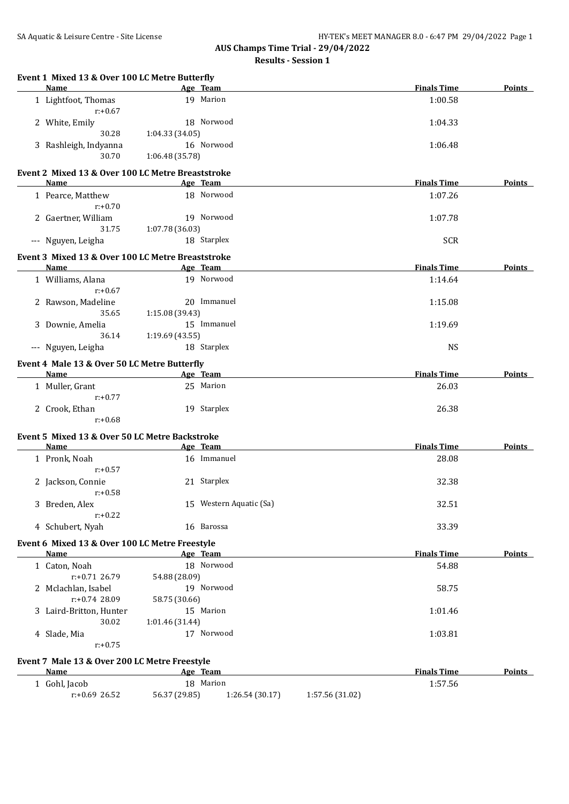## **AUS Champs Time Trial - 29/04/2022 Results - Session 1**

|   | Name                                                          |                              | Age Team                           | <b>Finals Time</b> | Points        |
|---|---------------------------------------------------------------|------------------------------|------------------------------------|--------------------|---------------|
|   | 1 Lightfoot, Thomas<br>$r: +0.67$                             |                              | 19 Marion                          | 1:00.58            |               |
|   | 2 White, Emily                                                |                              | 18 Norwood                         | 1:04.33            |               |
|   | 30.28                                                         | 1:04.33(34.05)               |                                    |                    |               |
|   | 3 Rashleigh, Indyanna                                         |                              | 16 Norwood                         | 1:06.48            |               |
|   | 30.70                                                         | 1:06.48 (35.78)              |                                    |                    |               |
|   | Event 2 Mixed 13 & Over 100 LC Metre Breaststroke             |                              |                                    |                    |               |
|   | <b>Name</b>                                                   |                              | Age Team                           | <b>Finals Time</b> | <b>Points</b> |
|   | 1 Pearce, Matthew<br>$r: +0.70$                               |                              | 18 Norwood                         | 1:07.26            |               |
|   | 2 Gaertner, William                                           |                              | 19 Norwood                         | 1:07.78            |               |
|   | 31.75                                                         | 1:07.78 (36.03)              |                                    |                    |               |
|   | --- Nguyen, Leigha                                            |                              | 18 Starplex                        | <b>SCR</b>         |               |
|   | Event 3 Mixed 13 & Over 100 LC Metre Breaststroke             |                              |                                    |                    |               |
|   | Name                                                          |                              | Age Team                           | <b>Finals Time</b> | Points        |
|   | 1 Williams, Alana<br>$r: +0.67$                               |                              | 19 Norwood                         | 1:14.64            |               |
|   | 2 Rawson, Madeline                                            |                              | 20 Immanuel                        | 1:15.08            |               |
|   | 35.65                                                         | 1:15.08 (39.43)              |                                    |                    |               |
|   | 3 Downie, Amelia                                              |                              | 15 Immanuel                        | 1:19.69            |               |
|   | 36.14                                                         | 1:19.69(43.55)               |                                    |                    |               |
|   | --- Nguyen, Leigha                                            |                              | 18 Starplex                        | <b>NS</b>          |               |
|   | Event 4 Male 13 & Over 50 LC Metre Butterfly                  |                              |                                    |                    |               |
|   | Name                                                          | <b>Example 2016</b> Age Team |                                    | <b>Finals Time</b> | <b>Points</b> |
|   | 1 Muller, Grant<br>$r: +0.77$                                 |                              | 25 Marion                          | 26.03              |               |
|   | 2 Crook, Ethan<br>$r: +0.68$                                  |                              | 19 Starplex                        | 26.38              |               |
|   | Event 5 Mixed 13 & Over 50 LC Metre Backstroke                |                              |                                    |                    |               |
|   | Name                                                          |                              | Age Team                           | <b>Finals Time</b> | <b>Points</b> |
|   | 1 Pronk, Noah<br>$r: +0.57$                                   |                              | 16 Immanuel                        | 28.08              |               |
|   | 2 Jackson, Connie<br>$r: +0.58$                               |                              | 21 Starplex                        | 32.38              |               |
|   | 3 Breden, Alex                                                |                              | 15 Western Aquatic (Sa)            | 32.51              |               |
|   | $r: +0.22$<br>4 Schubert, Nyah                                |                              | 16 Barossa                         | 33.39              |               |
|   |                                                               |                              |                                    |                    |               |
|   | Event 6 Mixed 13 & Over 100 LC Metre Freestyle<br><b>Name</b> |                              | Age Team                           | <b>Finals Time</b> | Points        |
|   | 1 Caton, Noah                                                 |                              | 18 Norwood                         | 54.88              |               |
|   | $r: +0.71$ 26.79                                              | 54.88 (28.09)                |                                    |                    |               |
| 2 | Mclachlan, Isabel                                             |                              | 19 Norwood                         | 58.75              |               |
|   | r:+0.74 28.09                                                 | 58.75 (30.66)                |                                    |                    |               |
| 3 | Laird-Britton, Hunter                                         |                              | 15 Marion                          | 1:01.46            |               |
|   | 30.02                                                         | 1:01.46 (31.44)              |                                    |                    |               |
|   | 4 Slade, Mia<br>$r: +0.75$                                    |                              | 17 Norwood                         | 1:03.81            |               |
|   | Event 7 Male 13 & Over 200 LC Metre Freestyle                 |                              |                                    |                    |               |
|   | <b>Name</b>                                                   |                              | Age Team                           | <b>Finals Time</b> | Points        |
|   | 1 Gohl, Jacob                                                 |                              | 18 Marion                          | 1:57.56            |               |
|   | r:+0.69 26.52                                                 | 56.37 (29.85)                | 1:26.54 (30.17)<br>1:57.56 (31.02) |                    |               |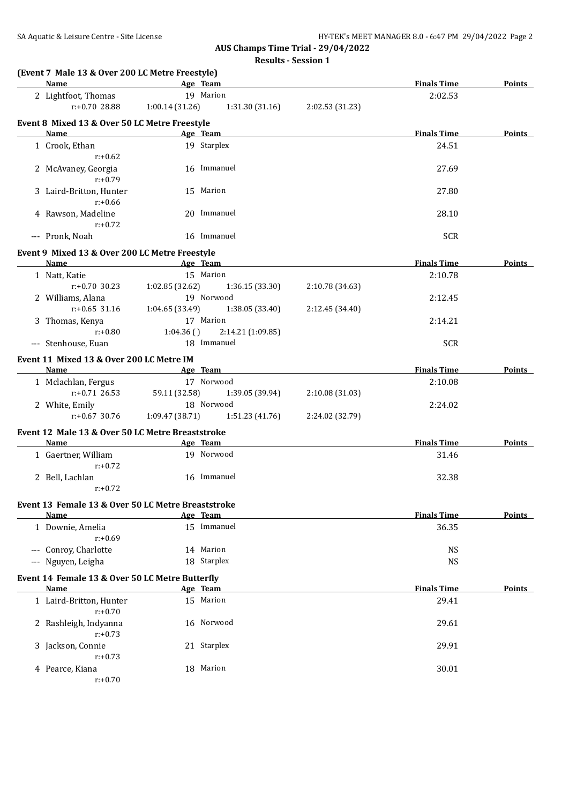**AUS Champs Time Trial - 29/04/2022**

**Results - Session 1**

| Name                                                     | <b>Example 2016</b> Age Team |                   |                 | <b>Finals Time</b> | <b>Points</b> |
|----------------------------------------------------------|------------------------------|-------------------|-----------------|--------------------|---------------|
| 2 Lightfoot, Thomas                                      |                              | 19 Marion         |                 | 2:02.53            |               |
| $r: +0.7028.88$                                          | 1:00.14(31.26)               | 1:31.30(31.16)    | 2:02.53 (31.23) |                    |               |
| Event 8 Mixed 13 & Over 50 LC Metre Freestyle            |                              |                   |                 |                    |               |
| <b>Name</b>                                              |                              | Age Team          |                 | <b>Finals Time</b> | <b>Points</b> |
| 1 Crook, Ethan                                           |                              | 19 Starplex       |                 | 24.51              |               |
| $r: +0.62$                                               |                              |                   |                 |                    |               |
| 2 McAvaney, Georgia                                      |                              | 16 Immanuel       |                 | 27.69              |               |
| $r: +0.79$                                               |                              |                   |                 |                    |               |
| 3 Laird-Britton, Hunter                                  |                              | 15 Marion         |                 | 27.80              |               |
| $r: +0.66$                                               |                              |                   |                 |                    |               |
| 4 Rawson, Madeline                                       |                              | 20 Immanuel       |                 | 28.10              |               |
| $r: +0.72$                                               |                              |                   |                 |                    |               |
| --- Pronk, Noah                                          |                              | 16 Immanuel       |                 | <b>SCR</b>         |               |
| Event 9 Mixed 13 & Over 200 LC Metre Freestyle           |                              |                   |                 |                    |               |
| Name                                                     |                              | Age Team          |                 | <b>Finals Time</b> | Points        |
| 1 Natt, Katie                                            |                              | 15 Marion         |                 | 2:10.78            |               |
| $r: +0.70$ 30.23                                         | 1:02.85(32.62)               | 1:36.15 (33.30)   | 2:10.78 (34.63) |                    |               |
| 2 Williams, Alana                                        |                              | 19 Norwood        |                 | 2:12.45            |               |
| $r: +0.65$ 31.16                                         | 1:04.65(33.49)               | 1:38.05 (33.40)   | 2:12.45 (34.40) |                    |               |
| 3 Thomas, Kenya                                          |                              | 17 Marion         |                 | 2:14.21            |               |
| $r: +0.80$                                               | 1:04.36()                    | 2:14.21 (1:09.85) |                 |                    |               |
| --- Stenhouse, Euan                                      |                              | 18 Immanuel       |                 | <b>SCR</b>         |               |
| Event 11 Mixed 13 & Over 200 LC Metre IM                 |                              |                   |                 |                    |               |
| Name                                                     |                              | Age Team          |                 | <b>Finals Time</b> | Points        |
| 1 Mclachlan, Fergus                                      |                              | 17 Norwood        |                 | 2:10.08            |               |
| $r: +0.71$ 26.53                                         | 59.11 (32.58)                | 1:39.05 (39.94)   | 2:10.08 (31.03) |                    |               |
| 2 White, Emily                                           |                              | 18 Norwood        |                 | 2:24.02            |               |
| $r: +0.67$ 30.76                                         | 1:09.47(38.71)               | 1:51.23 (41.76)   | 2:24.02 (32.79) |                    |               |
|                                                          |                              |                   |                 |                    |               |
| Event 12 Male 13 & Over 50 LC Metre Breaststroke<br>Name |                              | Age Team          |                 | <b>Finals Time</b> | <b>Points</b> |
| 1 Gaertner, William                                      |                              | 19 Norwood        |                 | 31.46              |               |
| $r: +0.72$                                               |                              |                   |                 |                    |               |
| 2 Bell, Lachlan                                          |                              | 16 Immanuel       |                 | 32.38              |               |
| $r: +0.72$                                               |                              |                   |                 |                    |               |
|                                                          |                              |                   |                 |                    |               |
| Event 13 Female 13 & Over 50 LC Metre Breaststroke       |                              |                   |                 |                    |               |
| Name                                                     |                              | Age Team          |                 | <b>Finals Time</b> | Points        |
| 1 Downie, Amelia                                         |                              | 15 Immanuel       |                 | 36.35              |               |
| $r: +0.69$                                               |                              |                   |                 |                    |               |
| --- Conroy, Charlotte                                    |                              | 14 Marion         |                 | <b>NS</b>          |               |
| --- Nguyen, Leigha                                       |                              | 18 Starplex       |                 | <b>NS</b>          |               |
| Event 14 Female 13 & Over 50 LC Metre Butterfly          |                              |                   |                 |                    |               |
| Name                                                     |                              | Age Team          |                 | <b>Finals Time</b> | <b>Points</b> |
| 1 Laird-Britton, Hunter<br>$r: +0.70$                    |                              | 15 Marion         |                 | 29.41              |               |
| 2 Rashleigh, Indyanna<br>$r: +0.73$                      |                              | 16 Norwood        |                 | 29.61              |               |
| 3 Jackson, Connie                                        |                              | 21 Starplex       |                 | 29.91              |               |
| $r: +0.73$                                               |                              |                   |                 |                    |               |
| 4 Pearce, Kiana                                          |                              | 18 Marion         |                 | 30.01              |               |
| $r: +0.70$                                               |                              |                   |                 |                    |               |